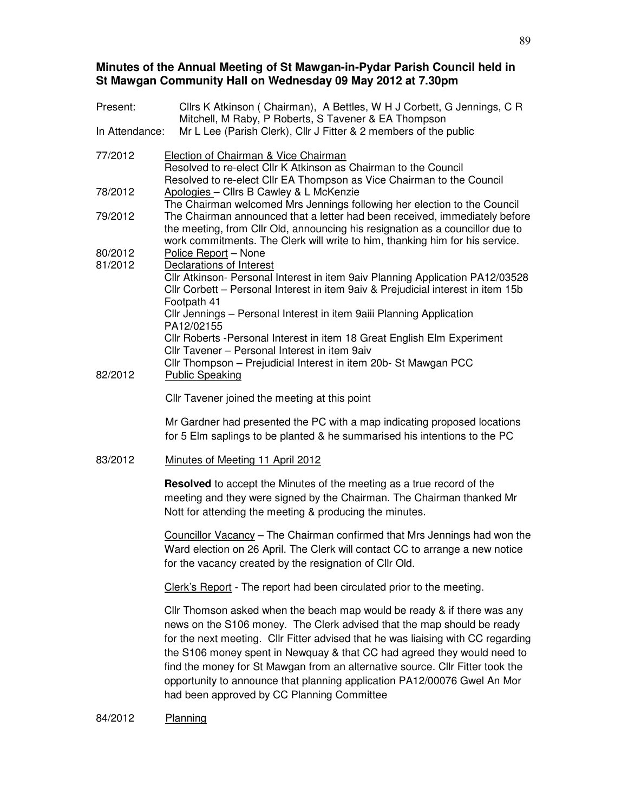# **Minutes of the Annual Meeting of St Mawgan-in-Pydar Parish Council held in St Mawgan Community Hall on Wednesday 09 May 2012 at 7.30pm**

| Present:           | Cllrs K Atkinson (Chairman), A Bettles, W H J Corbett, G Jennings, C R<br>Mitchell, M Raby, P Roberts, S Tavener & EA Thompson                                                                                                                                                                                                                                                                                                                                                                                              |  |
|--------------------|-----------------------------------------------------------------------------------------------------------------------------------------------------------------------------------------------------------------------------------------------------------------------------------------------------------------------------------------------------------------------------------------------------------------------------------------------------------------------------------------------------------------------------|--|
| In Attendance:     | Mr L Lee (Parish Clerk), Cllr J Fitter & 2 members of the public                                                                                                                                                                                                                                                                                                                                                                                                                                                            |  |
| 77/2012            | Election of Chairman & Vice Chairman<br>Resolved to re-elect Cllr K Atkinson as Chairman to the Council<br>Resolved to re-elect Cllr EA Thompson as Vice Chairman to the Council                                                                                                                                                                                                                                                                                                                                            |  |
| 78/2012            | Apologies - Cllrs B Cawley & L McKenzie<br>The Chairman welcomed Mrs Jennings following her election to the Council<br>The Chairman announced that a letter had been received, immediately before<br>the meeting, from Cllr Old, announcing his resignation as a councillor due to<br>work commitments. The Clerk will write to him, thanking him for his service.                                                                                                                                                          |  |
| 79/2012            |                                                                                                                                                                                                                                                                                                                                                                                                                                                                                                                             |  |
| 80/2012<br>81/2012 | Police Report - None<br>Declarations of Interest                                                                                                                                                                                                                                                                                                                                                                                                                                                                            |  |
|                    | Cllr Atkinson- Personal Interest in item 9aiv Planning Application PA12/03528<br>Cllr Corbett - Personal Interest in item 9aiv & Prejudicial interest in item 15b<br>Footpath 41                                                                                                                                                                                                                                                                                                                                            |  |
|                    | Cllr Jennings - Personal Interest in item 9aiii Planning Application<br>PA12/02155                                                                                                                                                                                                                                                                                                                                                                                                                                          |  |
|                    | Cllr Roberts - Personal Interest in item 18 Great English Elm Experiment<br>Cllr Tavener - Personal Interest in item 9aiv                                                                                                                                                                                                                                                                                                                                                                                                   |  |
| 82/2012            | Cllr Thompson - Prejudicial Interest in item 20b- St Mawgan PCC<br><b>Public Speaking</b>                                                                                                                                                                                                                                                                                                                                                                                                                                   |  |
|                    | Cllr Tavener joined the meeting at this point                                                                                                                                                                                                                                                                                                                                                                                                                                                                               |  |
|                    | Mr Gardner had presented the PC with a map indicating proposed locations<br>for 5 Elm saplings to be planted & he summarised his intentions to the PC                                                                                                                                                                                                                                                                                                                                                                       |  |
| 83/2012            | Minutes of Meeting 11 April 2012                                                                                                                                                                                                                                                                                                                                                                                                                                                                                            |  |
|                    | <b>Resolved</b> to accept the Minutes of the meeting as a true record of the<br>meeting and they were signed by the Chairman. The Chairman thanked Mr<br>Nott for attending the meeting & producing the minutes.                                                                                                                                                                                                                                                                                                            |  |
|                    | Councillor Vacancy - The Chairman confirmed that Mrs Jennings had won the<br>Ward election on 26 April. The Clerk will contact CC to arrange a new notice<br>for the vacancy created by the resignation of Cllr Old.                                                                                                                                                                                                                                                                                                        |  |
|                    | Clerk's Report - The report had been circulated prior to the meeting.                                                                                                                                                                                                                                                                                                                                                                                                                                                       |  |
|                    | Cllr Thomson asked when the beach map would be ready & if there was any<br>news on the S106 money. The Clerk advised that the map should be ready<br>for the next meeting. Cllr Fitter advised that he was liaising with CC regarding<br>the S106 money spent in Newquay & that CC had agreed they would need to<br>find the money for St Mawgan from an alternative source. Cllr Fitter took the<br>opportunity to announce that planning application PA12/00076 Gwel An Mor<br>had been approved by CC Planning Committee |  |
| 84/2012            | Planning                                                                                                                                                                                                                                                                                                                                                                                                                                                                                                                    |  |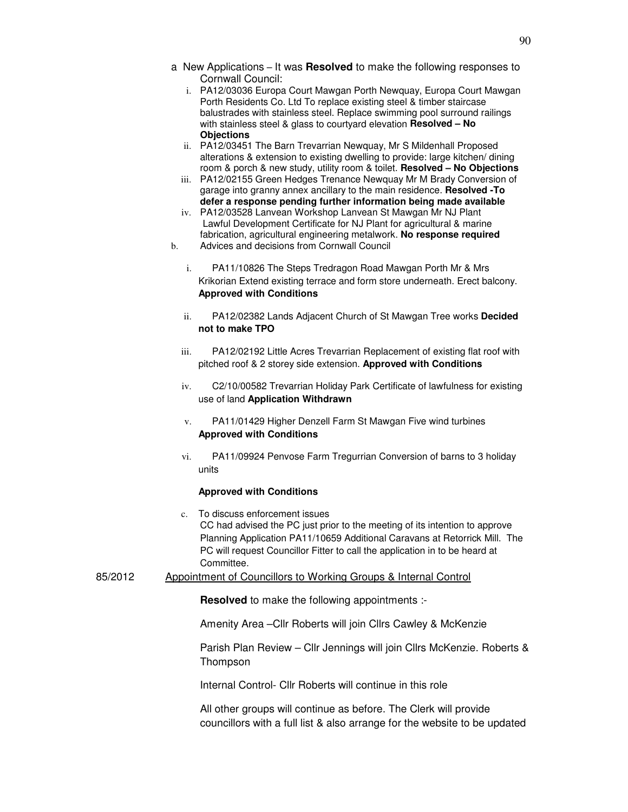- a New Applications It was **Resolved** to make the following responses to Cornwall Council:
	- i. PA12/03036 Europa Court Mawgan Porth Newquay, Europa Court Mawgan Porth Residents Co. Ltd To replace existing steel & timber staircase balustrades with stainless steel. Replace swimming pool surround railings with stainless steel & glass to courtyard elevation **Resolved – No Objections**
	- ii. PA12/03451 The Barn Trevarrian Newquay, Mr S Mildenhall Proposed alterations & extension to existing dwelling to provide: large kitchen/ dining room & porch & new study, utility room & toilet. **Resolved – No Objections**
	- iii. PA12/02155 Green Hedges Trenance Newquay Mr M Brady Conversion of garage into granny annex ancillary to the main residence. **Resolved -To defer a response pending further information being made available**
	- iv. PA12/03528 Lanvean Workshop Lanvean St Mawgan Mr NJ Plant Lawful Development Certificate for NJ Plant for agricultural & marine fabrication, agricultural engineering metalwork. **No response required**
- b. Advices and decisions from Cornwall Council
	- i. PA11/10826 The Steps Tredragon Road Mawgan Porth Mr & Mrs Krikorian Extend existing terrace and form store underneath. Erect balcony. **Approved with Conditions**
	- ii. PA12/02382 Lands Adjacent Church of St Mawgan Tree works **Decided not to make TPO**
	- iii. PA12/02192 Little Acres Trevarrian Replacement of existing flat roof with pitched roof & 2 storey side extension. **Approved with Conditions**
	- iv. C2/10/00582 Trevarrian Holiday Park Certificate of lawfulness for existing use of land **Application Withdrawn**
	- v. PA11/01429 Higher Denzell Farm St Mawgan Five wind turbines **Approved with Conditions**
	- vi. PA11/09924 Penvose Farm Tregurrian Conversion of barns to 3 holiday units

#### **Approved with Conditions**

- c. To discuss enforcement issues CC had advised the PC just prior to the meeting of its intention to approve Planning Application PA11/10659 Additional Caravans at Retorrick Mill. The PC will request Councillor Fitter to call the application in to be heard at Committee.
- 85/2012 Appointment of Councillors to Working Groups & Internal Control

**Resolved** to make the following appointments :-

Amenity Area –Cllr Roberts will join Cllrs Cawley & McKenzie

Parish Plan Review – Cllr Jennings will join Cllrs McKenzie. Roberts & Thompson

Internal Control- Cllr Roberts will continue in this role

All other groups will continue as before. The Clerk will provide councillors with a full list & also arrange for the website to be updated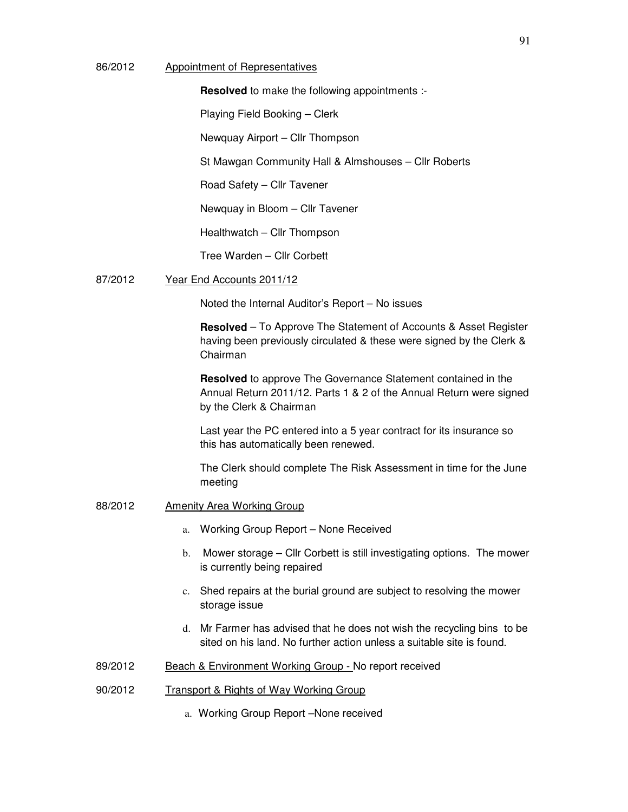## 86/2012 Appointment of Representatives

**Resolved** to make the following appointments :-

Playing Field Booking – Clerk

Newquay Airport – Cllr Thompson

St Mawgan Community Hall & Almshouses – Cllr Roberts

Road Safety – Cllr Tavener

Newquay in Bloom – Cllr Tavener

Healthwatch – Cllr Thompson

Tree Warden – Cllr Corbett

#### 87/2012 Year End Accounts 2011/12

Noted the Internal Auditor's Report – No issues

**Resolved** – To Approve The Statement of Accounts & Asset Register having been previously circulated & these were signed by the Clerk & Chairman

**Resolved** to approve The Governance Statement contained in the Annual Return 2011/12. Parts 1 & 2 of the Annual Return were signed by the Clerk & Chairman

Last year the PC entered into a 5 year contract for its insurance so this has automatically been renewed.

The Clerk should complete The Risk Assessment in time for the June meeting

- 88/2012 Amenity Area Working Group
	- a. Working Group Report None Received
	- b. Mower storage Cllr Corbett is still investigating options. The mower is currently being repaired
	- c. Shed repairs at the burial ground are subject to resolving the mower storage issue
	- d. Mr Farmer has advised that he does not wish the recycling bins to be sited on his land. No further action unless a suitable site is found.
- 89/2012 Beach & Environment Working Group No report received
- 90/2012 Transport & Rights of Way Working Group
	- a. Working Group Report –None received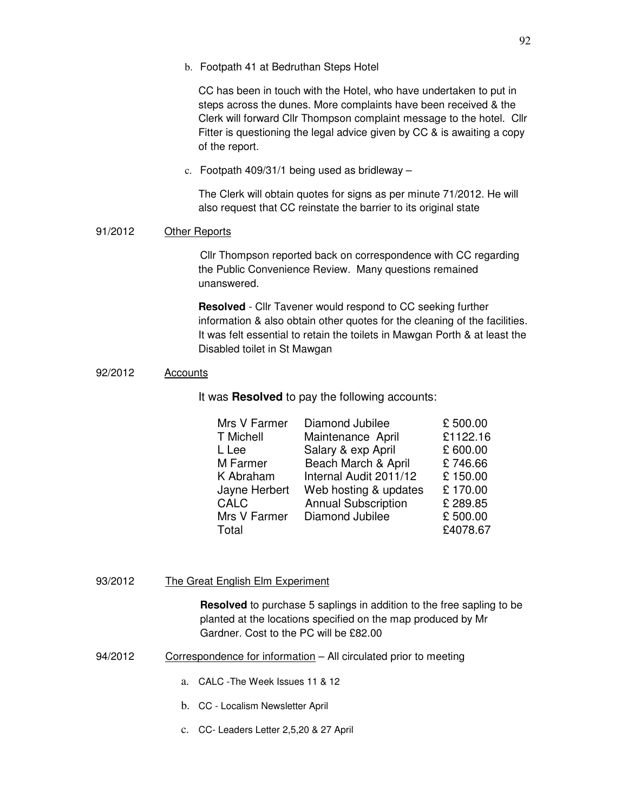CC has been in touch with the Hotel, who have undertaken to put in steps across the dunes. More complaints have been received & the Clerk will forward Cllr Thompson complaint message to the hotel. Cllr Fitter is questioning the legal advice given by CC & is awaiting a copy of the report.

c. Footpath 409/31/1 being used as bridleway –

The Clerk will obtain quotes for signs as per minute 71/2012. He will also request that CC reinstate the barrier to its original state

## 91/2012 Other Reports

 Cllr Thompson reported back on correspondence with CC regarding the Public Convenience Review. Many questions remained unanswered.

**Resolved** - Cllr Tavener would respond to CC seeking further information & also obtain other quotes for the cleaning of the facilities. It was felt essential to retain the toilets in Mawgan Porth & at least the Disabled toilet in St Mawgan

## 92/2012 Accounts

It was **Resolved** to pay the following accounts:

| Mrs V Farmer  | Diamond Jubilee            | £500.00  |
|---------------|----------------------------|----------|
| T Michell     | Maintenance April          | £1122.16 |
| L Lee         | Salary & exp April         | £600.00  |
| M Farmer      | Beach March & April        | £746.66  |
| K Abraham     | Internal Audit 2011/12     | £150.00  |
| Jayne Herbert | Web hosting & updates      | £170.00  |
| <b>CALC</b>   | <b>Annual Subscription</b> | £289.85  |
| Mrs V Farmer  | Diamond Jubilee            | £500.00  |
| Total         |                            | £4078.67 |

#### 93/2012 The Great English Elm Experiment

**Resolved** to purchase 5 saplings in addition to the free sapling to be planted at the locations specified on the map produced by Mr Gardner. Cost to the PC will be £82.00

- 94/2012 Correspondence for information All circulated prior to meeting
	- a. CALC -The Week Issues 11 & 12
	- b. CC Localism Newsletter April
	- c. CC- Leaders Letter 2,5,20 & 27 April